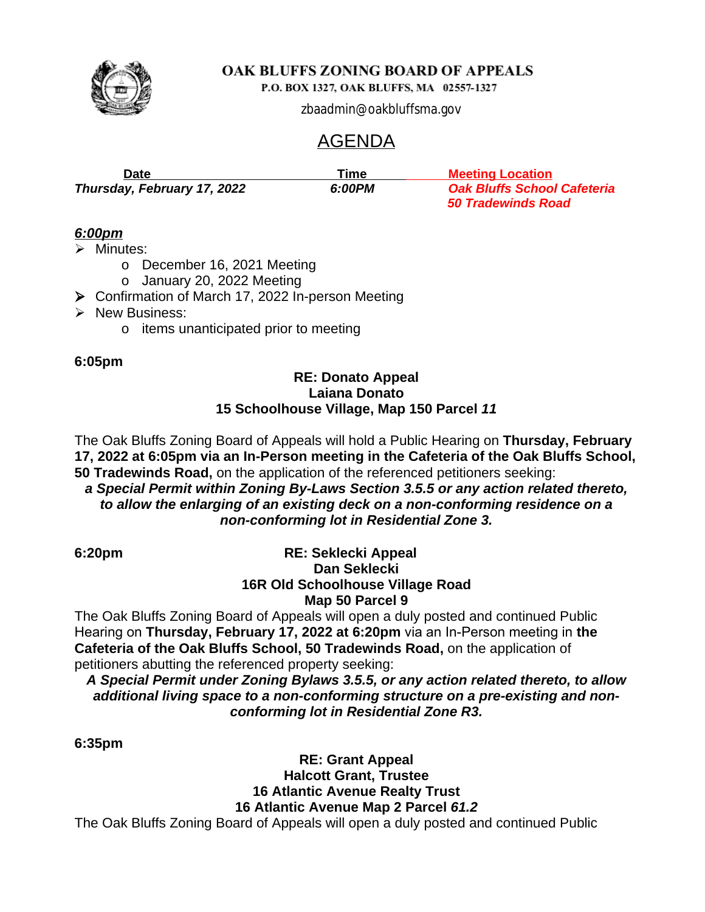

# OAK BLUFFS ZONING BOARD OF APPEALS

P.O. BOX 1327, OAK BLUFFS, MA 02557-1327

zbaadmin@oakbluffsma.gov

# AGENDA

| Date                        | Гіmе   | <b>Meeting Location</b>            |
|-----------------------------|--------|------------------------------------|
| Thursday, February 17, 2022 | 6:00PM | <b>Oak Bluffs School Cafeteria</b> |
|                             |        | <b>50 Tradewinds Road</b>          |

# *6:00pm*

 $\triangleright$  Minutes:

- o December 16, 2021 Meeting
- o January 20, 2022 Meeting
- ▶ Confirmation of March 17, 2022 In-person Meeting
- $\triangleright$  New Business:
	- o items unanticipated prior to meeting

### **6:05pm**

### **RE: Donato Appeal Laiana Donato 15 Schoolhouse Village, Map 150 Parcel** *11*

The Oak Bluffs Zoning Board of Appeals will hold a Public Hearing on **Thursday, February 17, 2022 at 6:05pm via an In-Person meeting in the Cafeteria of the Oak Bluffs School, 50 Tradewinds Road,** on the application of the referenced petitioners seeking: *a Special Permit within Zoning By-Laws Section 3.5.5 or any action related thereto,*

*to allow the enlarging of an existing deck on a non-conforming residence on a non-conforming lot in Residential Zone 3.*

# **6:20pm RE: Seklecki Appeal Dan Seklecki 16R Old Schoolhouse Village Road Map 50 Parcel 9**

The Oak Bluffs Zoning Board of Appeals will open a duly posted and continued Public Hearing on **Thursday, February 17, 2022 at 6:20pm** via an In-Person meeting in **the Cafeteria of the Oak Bluffs School, 50 Tradewinds Road,** on the application of petitioners abutting the referenced property seeking:

*A Special Permit under Zoning Bylaws 3.5.5, or any action related thereto, to allow additional living space to a non-conforming structure on a pre-existing and nonconforming lot in Residential Zone R3.*

**6:35pm**

**RE: Grant Appeal Halcott Grant, Trustee 16 Atlantic Avenue Realty Trust 16 Atlantic Avenue Map 2 Parcel** *61.2*

The Oak Bluffs Zoning Board of Appeals will open a duly posted and continued Public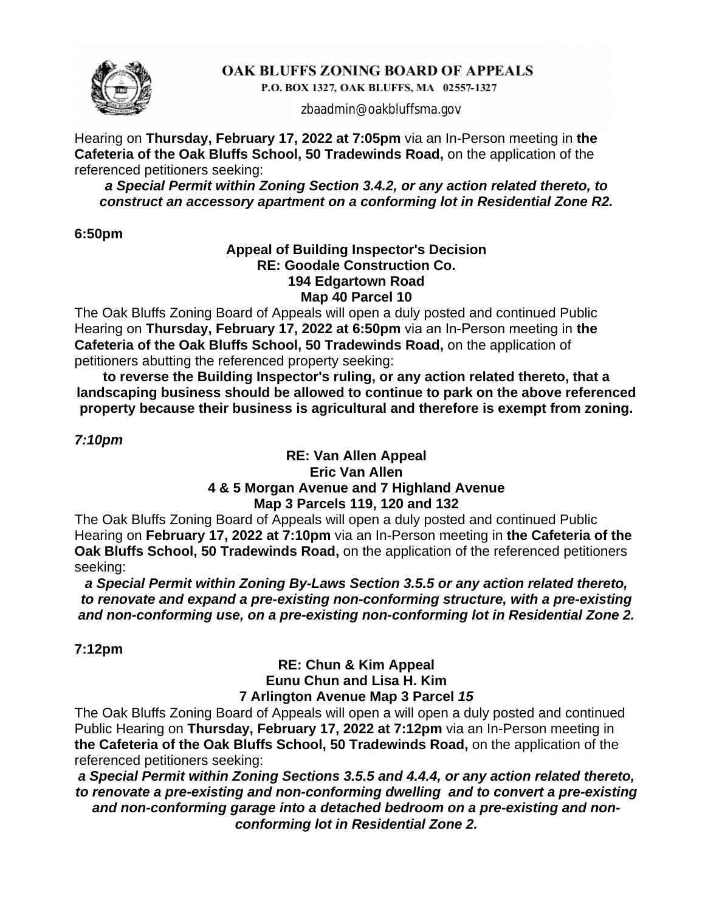

# OAK BLUFFS ZONING BOARD OF APPEALS

P.O. BOX 1327, OAK BLUFFS, MA 02557-1327

zbaadmin@oakbluffsma.gov

Hearing on **Thursday, February 17, 2022 at 7:05pm** via an In-Person meeting in **the Cafeteria of the Oak Bluffs School, 50 Tradewinds Road,** on the application of the referenced petitioners seeking:

*a Special Permit within Zoning Section 3.4.2, or any action related thereto, to construct an accessory apartment on a conforming lot in Residential Zone R2.*

**6:50pm**

### **Appeal of Building Inspector's Decision RE: Goodale Construction Co. 194 Edgartown Road Map 40 Parcel 10**

The Oak Bluffs Zoning Board of Appeals will open a duly posted and continued Public Hearing on **Thursday, February 17, 2022 at 6:50pm** via an In-Person meeting in **the Cafeteria of the Oak Bluffs School, 50 Tradewinds Road,** on the application of petitioners abutting the referenced property seeking:

**to reverse the Building Inspector's ruling, or any action related thereto, that a landscaping business should be allowed to continue to park on the above referenced property because their business is agricultural and therefore is exempt from zoning.**

*7:10pm*

### **RE: Van Allen Appeal Eric Van Allen 4 & 5 Morgan Avenue and 7 Highland Avenue Map 3 Parcels 119, 120 and 132**

The Oak Bluffs Zoning Board of Appeals will open a duly posted and continued Public Hearing on **February 17, 2022 at 7:10pm** via an In-Person meeting in **the Cafeteria of the Oak Bluffs School, 50 Tradewinds Road,** on the application of the referenced petitioners seeking:

*a Special Permit within Zoning By-Laws Section 3.5.5 or any action related thereto, to renovate and expand a pre-existing non-conforming structure, with a pre-existing and non-conforming use, on a pre-existing non-conforming lot in Residential Zone 2.*

**7:12pm**

# **RE: Chun & Kim Appeal Eunu Chun and Lisa H. Kim 7 Arlington Avenue Map 3 Parcel** *15*

The Oak Bluffs Zoning Board of Appeals will open a will open a duly posted and continued Public Hearing on **Thursday, February 17, 2022 at 7:12pm** via an In-Person meeting in **the Cafeteria of the Oak Bluffs School, 50 Tradewinds Road,** on the application of the referenced petitioners seeking:

*a Special Permit within Zoning Sections 3.5.5 and 4.4.4, or any action related thereto, to renovate a pre-existing and non-conforming dwelling and to convert a pre-existing and non-conforming garage into a detached bedroom on a pre-existing and nonconforming lot in Residential Zone 2.*